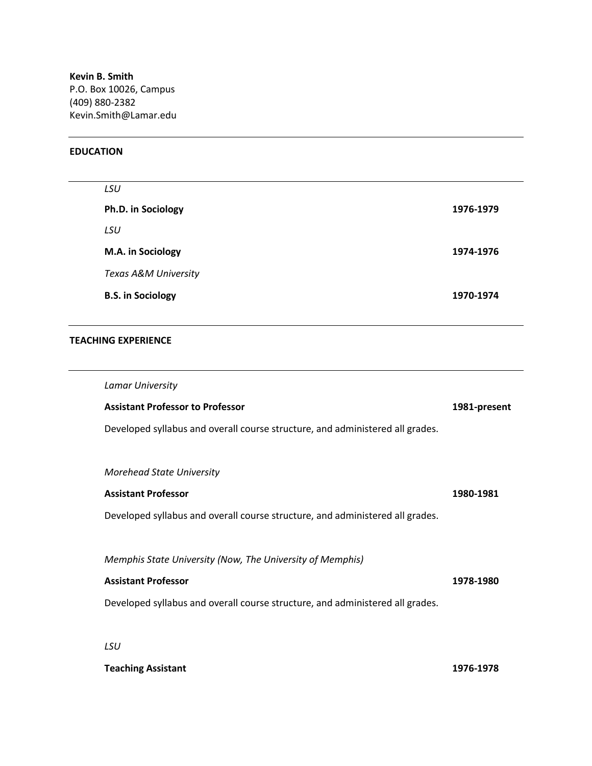**Kevin B. Smith** P.O. Box 10026, Campus (409) 880-2382 Kevin.Smith@Lamar.edu

## **EDUCATION**

| 1976-1979 |
|-----------|
|           |
| 1974-1976 |
|           |
| 1970-1974 |
|           |

## **TEACHING EXPERIENCE**

| Lamar University                                                              |              |
|-------------------------------------------------------------------------------|--------------|
| <b>Assistant Professor to Professor</b>                                       | 1981-present |
| Developed syllabus and overall course structure, and administered all grades. |              |
|                                                                               |              |
| <b>Morehead State University</b>                                              |              |
| <b>Assistant Professor</b>                                                    | 1980-1981    |
| Developed syllabus and overall course structure, and administered all grades. |              |
|                                                                               |              |
| Memphis State University (Now, The University of Memphis)                     |              |
| <b>Assistant Professor</b>                                                    | 1978-1980    |
| Developed syllabus and overall course structure, and administered all grades. |              |
|                                                                               |              |
| LSU                                                                           |              |
| <b>Teaching Assistant</b>                                                     | 1976-1978    |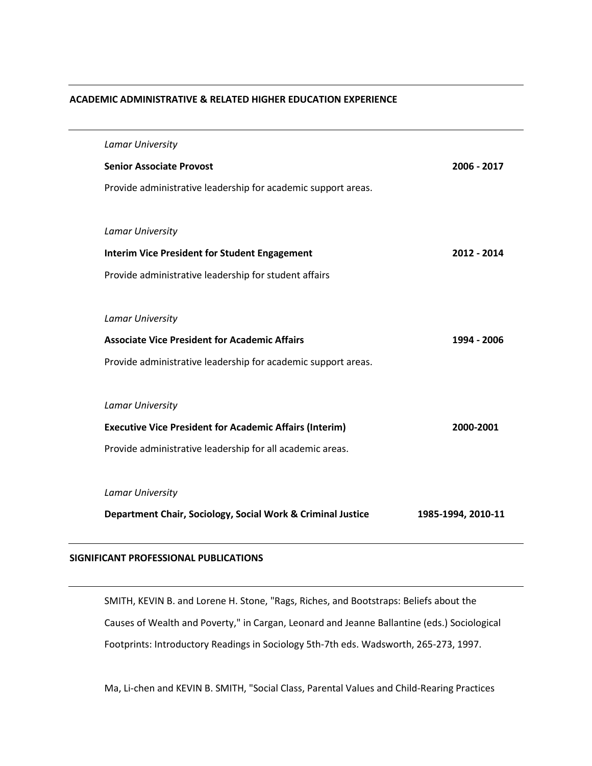## **ACADEMIC ADMINISTRATIVE & RELATED HIGHER EDUCATION EXPERIENCE**

| <b>Lamar University</b>                                        |                    |
|----------------------------------------------------------------|--------------------|
| <b>Senior Associate Provost</b>                                | 2006 - 2017        |
| Provide administrative leadership for academic support areas.  |                    |
|                                                                |                    |
| <b>Lamar University</b>                                        |                    |
| <b>Interim Vice President for Student Engagement</b>           | 2012 - 2014        |
| Provide administrative leadership for student affairs          |                    |
|                                                                |                    |
| <b>Lamar University</b>                                        |                    |
| <b>Associate Vice President for Academic Affairs</b>           | 1994 - 2006        |
| Provide administrative leadership for academic support areas.  |                    |
|                                                                |                    |
| <b>Lamar University</b>                                        |                    |
| <b>Executive Vice President for Academic Affairs (Interim)</b> | 2000-2001          |
| Provide administrative leadership for all academic areas.      |                    |
|                                                                |                    |
| <b>Lamar University</b>                                        |                    |
| Department Chair, Sociology, Social Work & Criminal Justice    | 1985-1994, 2010-11 |
|                                                                |                    |

## **SIGNIFICANT PROFESSIONAL PUBLICATIONS**

SMITH, KEVIN B. and Lorene H. Stone, "Rags, Riches, and Bootstraps: Beliefs about the Causes of Wealth and Poverty," in Cargan, Leonard and Jeanne Ballantine (eds.) Sociological Footprints: Introductory Readings in Sociology 5th-7th eds. Wadsworth, 265-273, 1997.

Ma, Li-chen and KEVIN B. SMITH, "Social Class, Parental Values and Child-Rearing Practices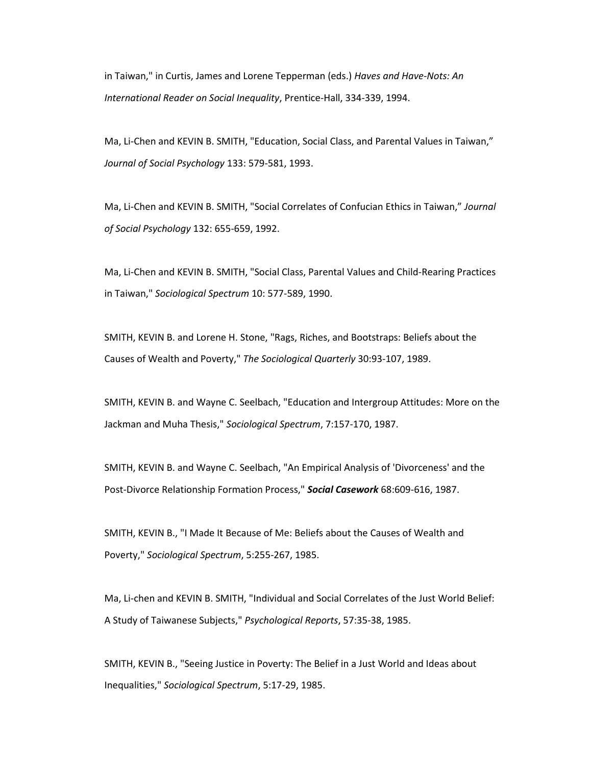in Taiwan," in Curtis, James and Lorene Tepperman (eds.) *Haves and Have-Nots: An International Reader on Social Inequality*, Prentice-Hall, 334-339, 1994.

Ma, Li-Chen and KEVIN B. SMITH, "Education, Social Class, and Parental Values in Taiwan," *Journal of Social Psychology* 133: 579-581, 1993.

Ma, Li-Chen and KEVIN B. SMITH, "Social Correlates of Confucian Ethics in Taiwan," *Journal of Social Psychology* 132: 655-659, 1992.

Ma, Li-Chen and KEVIN B. SMITH, "Social Class, Parental Values and Child-Rearing Practices in Taiwan," *Sociological Spectrum* 10: 577-589, 1990.

SMITH, KEVIN B. and Lorene H. Stone, "Rags, Riches, and Bootstraps: Beliefs about the Causes of Wealth and Poverty," *The Sociological Quarterly* 30:93-107, 1989.

SMITH, KEVIN B. and Wayne C. Seelbach, "Education and Intergroup Attitudes: More on the Jackman and Muha Thesis," *Sociological Spectrum*, 7:157-170, 1987.

SMITH, KEVIN B. and Wayne C. Seelbach, "An Empirical Analysis of 'Divorceness' and the Post-Divorce Relationship Formation Process," *Social Casework* 68:609-616, 1987.

SMITH, KEVIN B., "I Made It Because of Me: Beliefs about the Causes of Wealth and Poverty," *Sociological Spectrum*, 5:255-267, 1985.

Ma, Li-chen and KEVIN B. SMITH, "Individual and Social Correlates of the Just World Belief: A Study of Taiwanese Subjects," *Psychological Reports*, 57:35-38, 1985.

SMITH, KEVIN B., "Seeing Justice in Poverty: The Belief in a Just World and Ideas about Inequalities," *Sociological Spectrum*, 5:17-29, 1985.